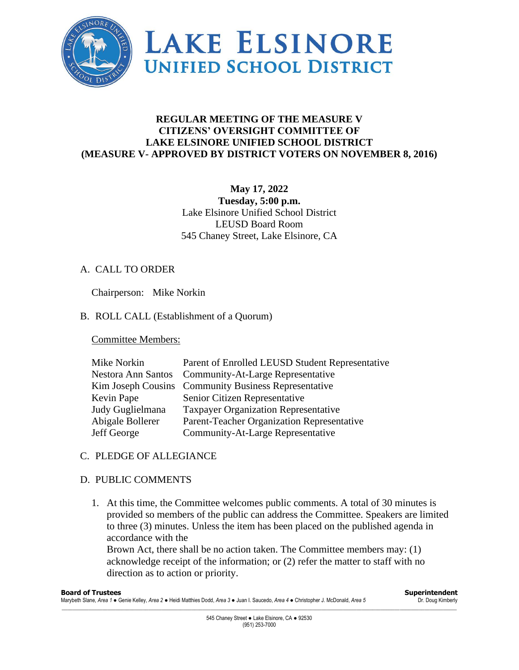

# **REGULAR MEETING OF THE MEASURE V CITIZENS' OVERSIGHT COMMITTEE OF LAKE ELSINORE UNIFIED SCHOOL DISTRICT (MEASURE V- APPROVED BY DISTRICT VOTERS ON NOVEMBER 8, 2016)**

## **May 17, 2022 Tuesday, 5:00 p.m.** Lake Elsinore Unified School District LEUSD Board Room 545 Chaney Street, Lake Elsinore, CA

## A. CALL TO ORDER

Chairperson: Mike Norkin

## B. ROLL CALL (Establishment of a Quorum)

Committee Members:

| Mike Norkin               | Parent of Enrolled LEUSD Student Representative      |
|---------------------------|------------------------------------------------------|
| <b>Nestora Ann Santos</b> | <b>Community-At-Large Representative</b>             |
|                           | Kim Joseph Cousins Community Business Representative |
| Kevin Pape                | Senior Citizen Representative                        |
| Judy Guglielmana          | <b>Taxpayer Organization Representative</b>          |
| Abigale Bollerer          | Parent-Teacher Organization Representative           |
| Jeff George               | Community-At-Large Representative                    |

## C. PLEDGE OF ALLEGIANCE

## D. PUBLIC COMMENTS

1. At this time, the Committee welcomes public comments. A total of 30 minutes is provided so members of the public can address the Committee. Speakers are limited to three (3) minutes. Unless the item has been placed on the published agenda in accordance with the

Brown Act, there shall be no action taken. The Committee members may: (1) acknowledge receipt of the information; or (2) refer the matter to staff with no direction as to action or priority.